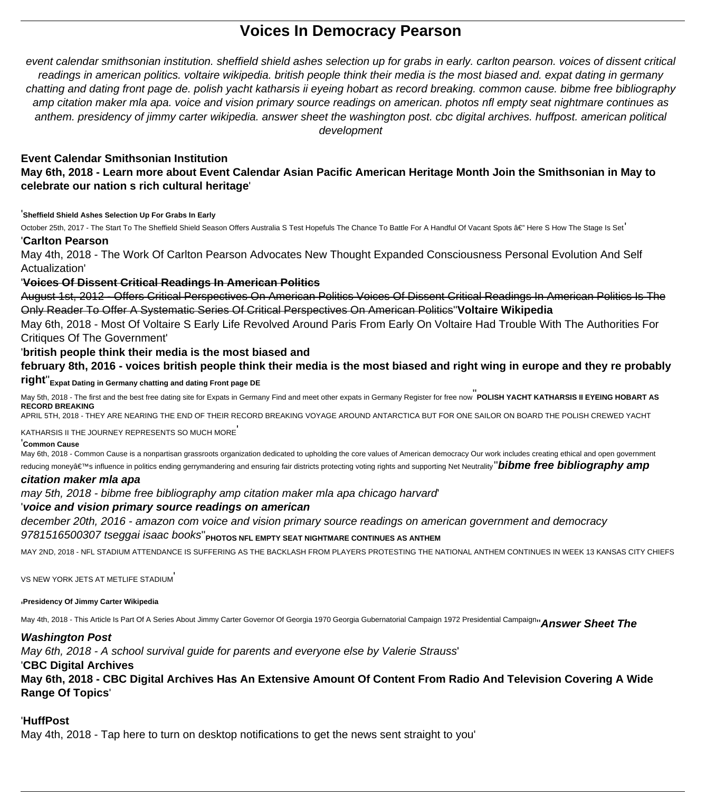# **Voices In Democracy Pearson**

event calendar smithsonian institution. sheffield shield ashes selection up for grabs in early. carlton pearson. voices of dissent critical readings in american politics. voltaire wikipedia. british people think their media is the most biased and. expat dating in germany chatting and dating front page de. polish yacht katharsis ii eyeing hobart as record breaking. common cause. bibme free bibliography amp citation maker mla apa. voice and vision primary source readings on american. photos nfl empty seat nightmare continues as anthem. presidency of jimmy carter wikipedia. answer sheet the washington post. cbc digital archives. huffpost. american political development

# **Event Calendar Smithsonian Institution May 6th, 2018 - Learn more about Event Calendar Asian Pacific American Heritage Month Join the Smithsonian in May to celebrate our nation s rich cultural heritage**'

#### '**Sheffield Shield Ashes Selection Up For Grabs In Early**

October 25th, 2017 - The Start To The Sheffield Shield Season Offers Australia S Test Hopefuls The Chance To Battle For A Handful Of Vacant Spots â€" Here S How The Stage Is Set<sup>'</sup> '**Carlton Pearson**

May 4th, 2018 - The Work Of Carlton Pearson Advocates New Thought Expanded Consciousness Personal Evolution And Self Actualization'

## '**Voices Of Dissent Critical Readings In American Politics**

August 1st, 2012 - Offers Critical Perspectives On American Politics Voices Of Dissent Critical Readings In American Politics Is The Only Reader To Offer A Systematic Series Of Critical Perspectives On American Politics''**Voltaire Wikipedia**

May 6th, 2018 - Most Of Voltaire S Early Life Revolved Around Paris From Early On Voltaire Had Trouble With The Authorities For Critiques Of The Government'

## '**british people think their media is the most biased and**

**february 8th, 2016 - voices british people think their media is the most biased and right wing in europe and they re probably**

# **right**''**Expat Dating in Germany chatting and dating Front page DE**

May 5th, 2018 - The first and the best free dating site for Expats in Germany Find and meet other expats in Germany Register for free now''**POLISH YACHT KATHARSIS II EYEING HOBART AS RECORD BREAKING**

APRIL 5TH, 2018 - THEY ARE NEARING THE END OF THEIR RECORD BREAKING VOYAGE AROUND ANTARCTICA BUT FOR ONE SAILOR ON BOARD THE POLISH CREWED YACHT

#### KATHARSIS II THE JOURNEY REPRESENTS SO MUCH MORE'

#### '**Common Cause**

May 6th, 2018 - Common Cause is a nonpartisan grassroots organization dedicated to upholding the core values of American democracy Our work includes creating ethical and open government reducing money's influence in politics ending gerrymandering and ensuring fair districts protecting voting rights and supporting Net Neutrality'' **bibme free bibliography amp** 

#### **citation maker mla apa**

may 5th, 2018 - bibme free bibliography amp citation maker mla apa chicago harvard'

## '**voice and vision primary source readings on american**

december 20th, 2016 - amazon com voice and vision primary source readings on american government and democracy

## 9781516500307 tseggai isaac books''**PHOTOS NFL EMPTY SEAT NIGHTMARE CONTINUES AS ANTHEM**

MAY 2ND, 2018 - NFL STADIUM ATTENDANCE IS SUFFERING AS THE BACKLASH FROM PLAYERS PROTESTING THE NATIONAL ANTHEM CONTINUES IN WEEK 13 KANSAS CITY CHIEFS

VS NEW YORK JETS AT METLIFE STADIUM'

#### '**Presidency Of Jimmy Carter Wikipedia**

May 4th, 2018 - This Article Is Part Of A Series About Jimmy Carter Governor Of Georgia 1970 Georgia Gubernatorial Campaign 1972 Presidential Campaign''**Answer Sheet The**

## **Washington Post**

May 6th, 2018 - A school survival guide for parents and everyone else by Valerie Strauss'

## '**CBC Digital Archives**

**May 6th, 2018 - CBC Digital Archives Has An Extensive Amount Of Content From Radio And Television Covering A Wide Range Of Topics**'

# '**HuffPost**

May 4th, 2018 - Tap here to turn on desktop notifications to get the news sent straight to you'